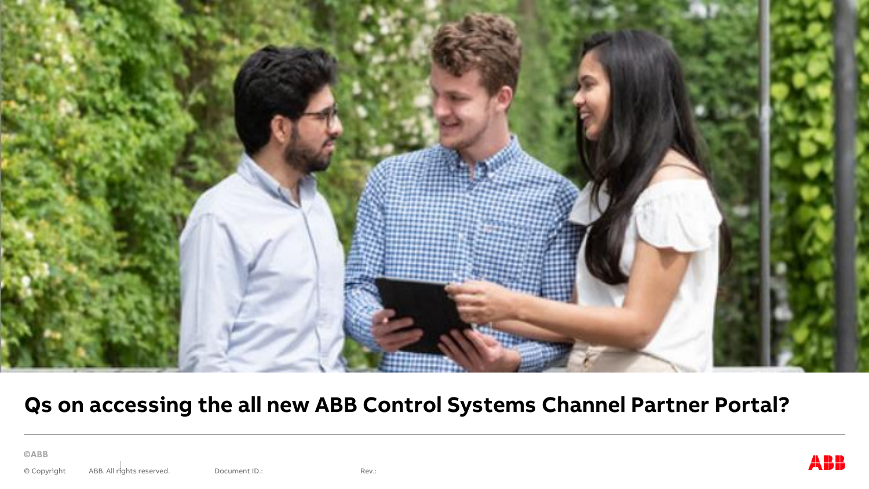

#### Qs on accessing the all new ABB Control Systems Channel Partner Portal?

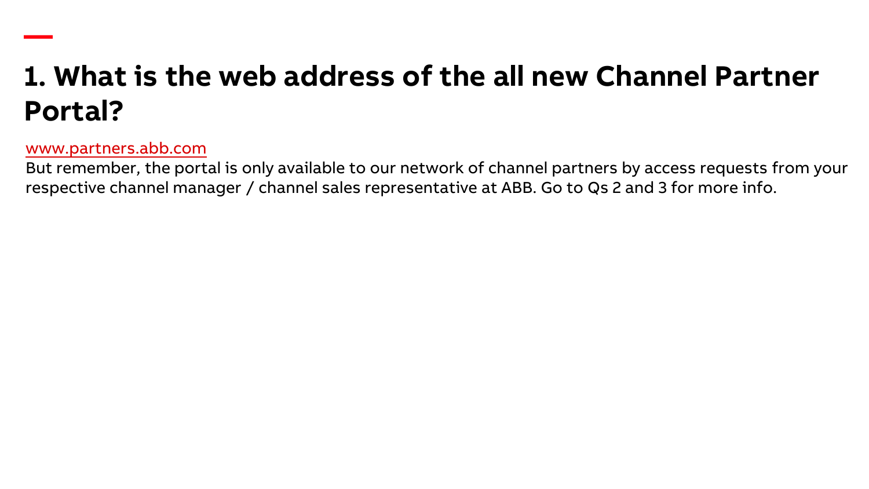# **1. What is the web address of the all new Channel Partner Portal?**

#### [www.partners.abb.com](http://www.partners.abb.com/)

**—**

But remember, the portal is only available to our network of channel partners by access requests from your respective channel manager / channel sales representative at ABB. Go to Qs 2 and 3 for more info.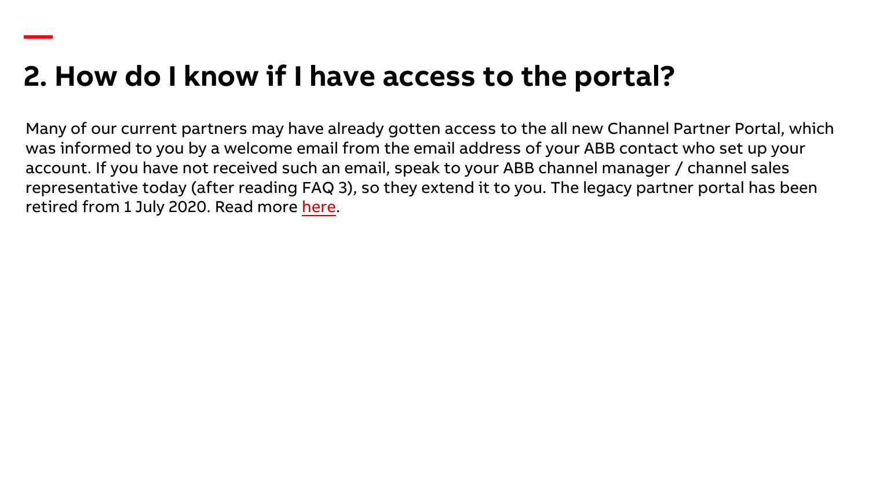## **2. How do I know if I have access to the portal?**

**—**

Many of our current partners may have already gotten access to the all new Channel Partner Portal, which was informed to you by a welcome email from the email address of your ABB contact who set up your account. If you have not received such an email, speak to your ABB channel manager / channel sales representative today (after reading FAQ 3), so they extend it to you. The legacy partner portal has been retired from 1 July 2020. Read more [here](https://new.abb.com/channel-partners/channel-partner-portal).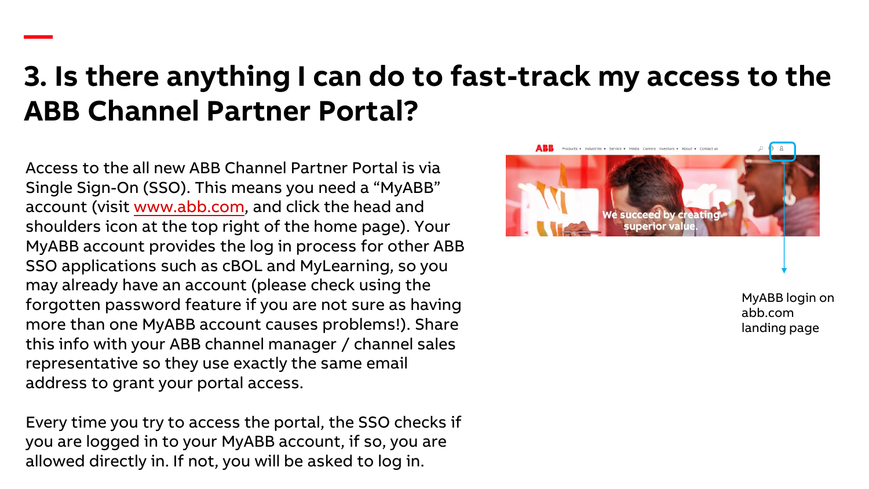#### **3. Is there anything I can do to fast-track my access to the ABB Channel Partner Portal?**

Access to the all new ABB Channel Partner Portal is via Single Sign-On (SSO). This means you need a "MyABB" account (visit [www.abb.com](http://www.abb.com/), and click the head and shoulders icon at the top right of the home page). Your MyABB account provides the log in process for other ABB SSO applications such as cBOL and MyLearning, so you may already have an account (please check using the forgotten password feature if you are not sure as having more than one MyABB account causes problems!). Share this info with your ABB channel manager / channel sales representative so they use exactly the same email address to grant your portal access.

**—**

Every time you try to access the portal, the SSO checks if you are logged in to your MyABB account, if so, you are allowed directly in. If not, you will be asked to log in.



MyABB login on abb.com landing page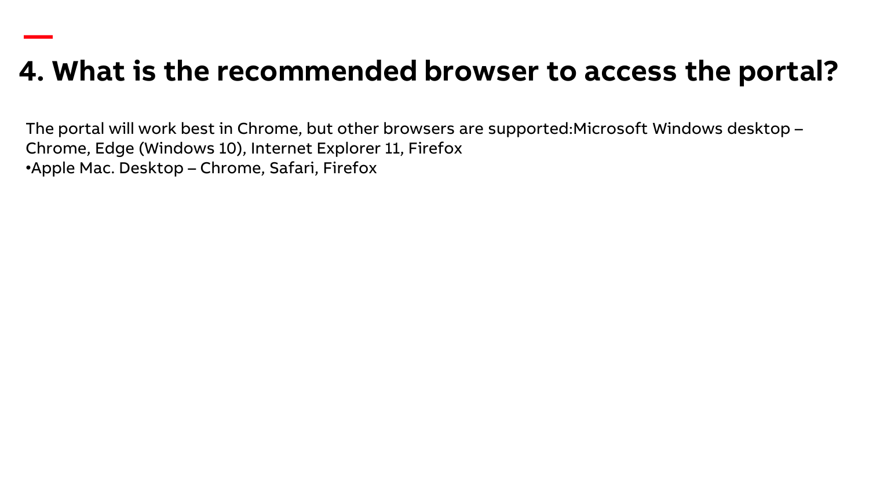## **4. What is the recommended browser to access the portal?**

The portal will work best in Chrome, but other browsers are supported:Microsoft Windows desktop – Chrome, Edge (Windows 10), Internet Explorer 11, Firefox •Apple Mac. Desktop – Chrome, Safari, Firefox

**—**